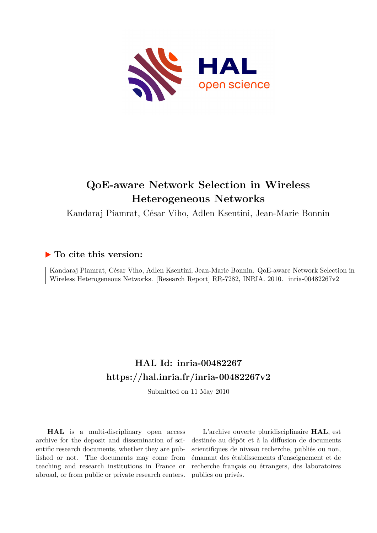

# **QoE-aware Network Selection in Wireless Heterogeneous Networks**

Kandaraj Piamrat, César Viho, Adlen Ksentini, Jean-Marie Bonnin

## **To cite this version:**

Kandaraj Piamrat, César Viho, Adlen Ksentini, Jean-Marie Bonnin. QoE-aware Network Selection in Wireless Heterogeneous Networks. [Research Report] RR-7282, INRIA. 2010. inria-00482267v2

# **HAL Id: inria-00482267 <https://hal.inria.fr/inria-00482267v2>**

Submitted on 11 May 2010

**HAL** is a multi-disciplinary open access archive for the deposit and dissemination of scientific research documents, whether they are published or not. The documents may come from teaching and research institutions in France or abroad, or from public or private research centers.

L'archive ouverte pluridisciplinaire **HAL**, est destinée au dépôt et à la diffusion de documents scientifiques de niveau recherche, publiés ou non, émanant des établissements d'enseignement et de recherche français ou étrangers, des laboratoires publics ou privés.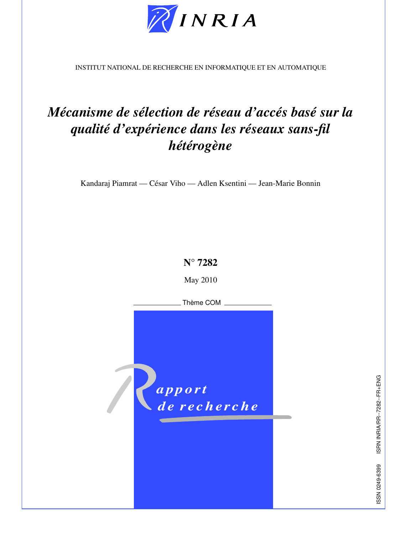

INSTITUT NATIONAL DE RECHERCHE EN INFORMATIQUE ET EN AUTOMATIQUE

# *Mécanisme de sélection de réseau d'accés basé sur la qualité d'expérience dans les réseaux sans-fil hétérogène*

Kandaraj Piamrat — César Viho — Adlen Ksentini — Jean-Marie Bonnin

**N° 7282**

May 2010

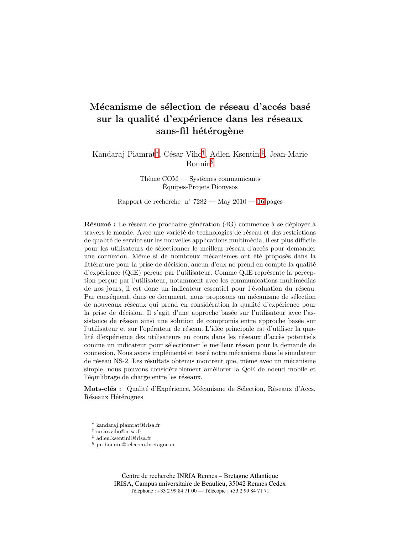# Mécanisme de sélection de réseau d'accés basé sur la qualité d'expérience dans les réseaux sans-fil hétérogène

Kandaraj Piamrat<sup>∗</sup>, César Viho<sup>†</sup>, Adlen Ksentini<sup>‡</sup>, Jean-Marie Bonnin§

> Thème  $COM - Systems$  communicants Equipes-Projets Dionysos

Rapport de recherche  $n^2 7282 - May 2010 - 16$  $n^2 7282 - May 2010 - 16$  pages

 $R\acute{e}sum\'{e}$ : Le réseau de prochaine génération (4G) commence à se déployer à travers le monde. Avec une variété de technologies de réseau et des restrictions de qualité de service sur les nouvelles applications multimédia, il est plus difficile pour les utilisateurs de sélectionner le meilleur réseau d'accès pour demander une connexion. Même si de nombreux mécanismes ont été proposés dans la littérature pour la prise de décision, aucun d'eux ne prend en compte la qualité d'expérience (QdE) perçue par l'utilisateur. Comme QdE représente la perception percue par l'utilisateur, notamment avec les communications multimédias de nos jours, il est donc un indicateur essentiel pour l'évaluation du réseau. Par conséquent, dans ce document, nous proposons un mécanisme de sélection de nouveaux réseaux qui prend en considération la qualité d'expérience pour la prise de décision. Il s'agit d'une approche basée sur l'utilisateur avec l'assistance de réseau ainsi une solution de compromis entre approche basée sur l'utilisateur et sur l'opérateur de réseau. L'idée principale est d'utiliser la qualité d'expérience des utilisateurs en cours dans les réseaux d'accès potentiels comme un indicateur pour sélectionner le meilleur réseau pour la demande de connexion. Nous avons implémenté et testé notre mécanisme dans le simulateur de réseau NS-2. Les résultats obtenus montrent que, même avec un mécanisme simple, nous pouvons considérablement améliorer la QoE de noeud mobile et l'équilibrage de charge entre les réseaux.

Mots-clés : Qualité d'Expérience, Mécanisme de Sélection, Réseaux d'Accs, Réseaux Hétérognes

- <sup>∗</sup> kandaraj.piamrat@irisa.fr
- † cesar.viho@irisa.fr
- ‡ adlen.ksentini@irisa.fr
- § jm.bonnin@telecom-bretagne.eu

Centre de recherche INRIA Rennes – Bretagne Atlantique IRISA, Campus universitaire de Beaulieu, 35042 Rennes Cedex Téléphone : +33 2 99 84 71 00 — Télécopie : +33 2 99 84 71 71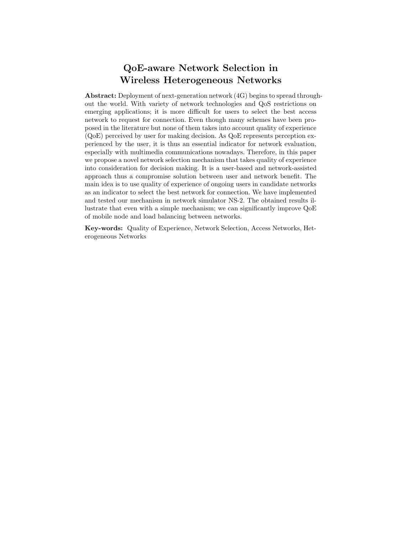# QoE-aware Network Selection in Wireless Heterogeneous Networks

Abstract: Deployment of next-generation network (4G) begins to spread throughout the world. With variety of network technologies and QoS restrictions on emerging applications; it is more difficult for users to select the best access network to request for connection. Even though many schemes have been proposed in the literature but none of them takes into account quality of experience (QoE) perceived by user for making decision. As QoE represents perception experienced by the user, it is thus an essential indicator for network evaluation, especially with multimedia communications nowadays. Therefore, in this paper we propose a novel network selection mechanism that takes quality of experience into consideration for decision making. It is a user-based and network-assisted approach thus a compromise solution between user and network benefit. The main idea is to use quality of experience of ongoing users in candidate networks as an indicator to select the best network for connection. We have implemented and tested our mechanism in network simulator NS-2. The obtained results illustrate that even with a simple mechanism; we can significantly improve QoE of mobile node and load balancing between networks.

Key-words: Quality of Experience, Network Selection, Access Networks, Heterogeneous Networks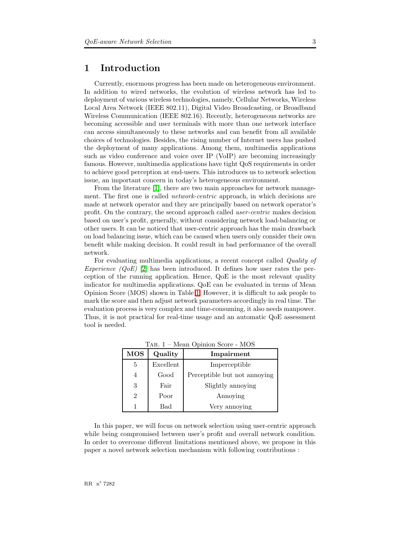## <span id="page-5-1"></span>1 Introduction

Currently, enormous progress has been made on heterogeneous environment. In addition to wired networks, the evolution of wireless network has led to deployment of various wireless technologies, namely, Cellular Networks, Wireless Local Area Network (IEEE 802.11), Digital Video Broadcasting, or Broadband Wireless Communication (IEEE 802.16). Recently, heterogeneous networks are becoming accessible and user terminals with more than one network interface can access simultaneously to these networks and can benefit from all available choices of technologies. Besides, the rising number of Internet users has pushed the deployment of many applications. Among them, multimedia applications such as video conference and voice over IP (VoIP) are becoming increasingly famous. However, multimedia applications have tight QoS requirements in order to achieve good perception at end-users. This introduces us to network selection issue, an important concern in today's heterogeneous environment.

From the literature [\[1\]](#page-17-0), there are two main approaches for network management. The first one is called *network-centric* approach, in which decisions are made at network operator and they are principally based on network operator's profit. On the contrary, the second approach called user-centric makes decision based on user's profit, generally, without considering network load-balancing or other users. It can be noticed that user-centric approach has the main drawback on load balancing issue, which can be caused when users only consider their own benefit while making decision. It could result in bad performance of the overall network.

For evaluating multimedia applications, a recent concept called Quality of Experience  $(QoE)$  [\[2\]](#page-17-1) has been introduced. It defines how user rates the perception of the running application. Hence, QoE is the most relevant quality indicator for multimedia applications. QoE can be evaluated in terms of Mean Opinion Score (MOS) shown in Table [1.](#page-5-0) However, it is difficult to ask people to mark the score and then adjust network parameters accordingly in real time. The evaluation process is very complex and time-consuming, it also needs manpower. Thus, it is not practical for real-time usage and an automatic QoE assessment tool is needed.

<span id="page-5-0"></span>

| <b>MOS</b> | Quality   | Impairment                   |
|------------|-----------|------------------------------|
| 5          | Excellent | Imperceptible                |
| 4          | Good      | Perceptible but not annoying |
| 3          | Fair      | Slightly annoying            |
| 2          | Poor      | Annoying                     |
|            | Bad       | Very annoying                |

Tab. 1 – Mean Opinion Score - MOS

In this paper, we will focus on network selection using user-centric approach while being compromised between user's profit and overall network condition. In order to overcome different limitations mentioned above, we propose in this paper a novel network selection mechanism with following contributions :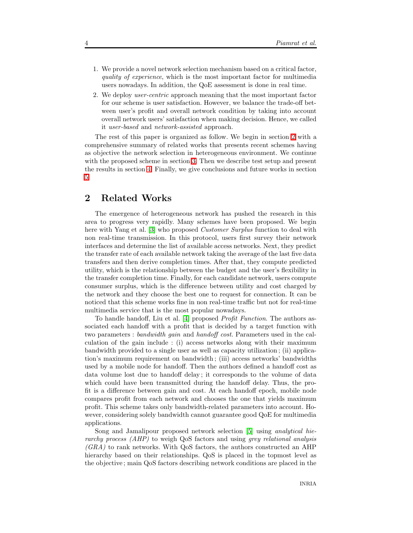- 1. We provide a novel network selection mechanism based on a critical factor, quality of experience, which is the most important factor for multimedia users nowadays. In addition, the QoE assessment is done in real time.
- 2. We deploy user-centric approach meaning that the most important factor for our scheme is user satisfaction. However, we balance the trade-off between user's profit and overall network condition by taking into account overall network users' satisfaction when making decision. Hence, we called it user-based and network-assisted approach.

The rest of this paper is organized as follow. We begin in section [2](#page-6-0) with a comprehensive summary of related works that presents recent schemes having as objective the network selection in heterogeneous environment. We continue with the proposed scheme in section [3.](#page-7-0) Then we describe test setup and present the results in section [4.](#page-9-0) Finally, we give conclusions and future works in section [5.](#page-16-0)

## <span id="page-6-0"></span>2 Related Works

The emergence of heterogeneous network has pushed the research in this area to progress very rapidly. Many schemes have been proposed. We begin here with Yang et al. [\[3\]](#page-17-2) who proposed *Customer Surplus* function to deal with non real-time transmission. In this protocol, users first survey their network interfaces and determine the list of available access networks. Next, they predict the transfer rate of each available network taking the average of the last five data transfers and then derive completion times. After that, they compute predicted utility, which is the relationship between the budget and the user's flexibility in the transfer completion time. Finally, for each candidate network, users compute consumer surplus, which is the difference between utility and cost charged by the network and they choose the best one to request for connection. It can be noticed that this scheme works fine in non real-time traffic but not for real-time multimedia service that is the most popular nowadays.

To handle handoff, Liu et al. [\[4\]](#page-17-3) proposed Profit Function. The authors associated each handoff with a profit that is decided by a target function with two parameters : bandwidth gain and handoff cost. Parameters used in the calculation of the gain include : (i) access networks along with their maximum bandwidth provided to a single user as well as capacity utilization ; (ii) application's maximum requirement on bandwidth ; (iii) access networks' bandwidths used by a mobile node for handoff. Then the authors defined a handoff cost as data volume lost due to handoff delay ; it corresponds to the volume of data which could have been transmitted during the handoff delay. Thus, the profit is a difference between gain and cost. At each handoff epoch, mobile node compares profit from each network and chooses the one that yields maximum profit. This scheme takes only bandwidth-related parameters into account. However, considering solely bandwidth cannot guarantee good QoE for multimedia applications.

Song and Jamalipour proposed network selection [\[5\]](#page-17-4) using analytical hierarchy process (AHP) to weigh QoS factors and using grey relational analysis  $(GRA)$  to rank networks. With QoS factors, the authors constructed an AHP hierarchy based on their relationships. QoS is placed in the topmost level as the objective ; main QoS factors describing network conditions are placed in the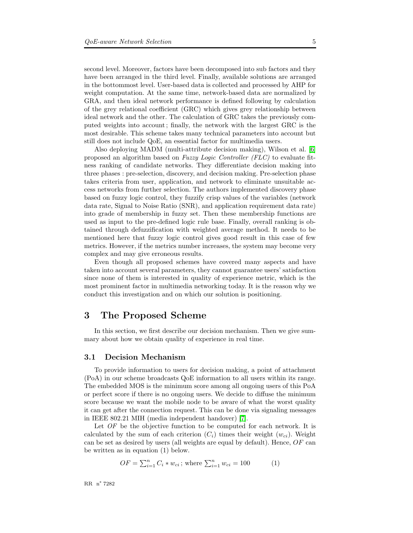second level. Moreover, factors have been decomposed into sub factors and they have been arranged in the third level. Finally, available solutions are arranged in the bottommost level. User-based data is collected and processed by AHP for weight computation. At the same time, network-based data are normalized by GRA, and then ideal network performance is defined following by calculation of the grey relational coefficient (GRC) which gives grey relationship between ideal network and the other. The calculation of GRC takes the previously computed weights into account; finally, the network with the largest GRC is the most desirable. This scheme takes many technical parameters into account but still does not include QoE, an essential factor for multimedia users.

Also deploying MADM (multi-attribute decision making), Wilson et al. [\[6\]](#page-17-5) proposed an algorithm based on Fuzzy Logic Controller (FLC) to evaluate fitness ranking of candidate networks. They differentiate decision making into three phases : pre-selection, discovery, and decision making. Pre-selection phase takes criteria from user, application, and network to eliminate unsuitable access networks from further selection. The authors implemented discovery phase based on fuzzy logic control, they fuzzify crisp values of the variables (network data rate, Signal to Noise Ratio (SNR), and application requirement data rate) into grade of membership in fuzzy set. Then these membership functions are used as input to the pre-defined logic rule base. Finally, overall ranking is obtained through defuzzification with weighted average method. It needs to be mentioned here that fuzzy logic control gives good result in this case of few metrics. However, if the metrics number increases, the system may become very complex and may give erroneous results.

Even though all proposed schemes have covered many aspects and have taken into account several parameters, they cannot guarantee users' satisfaction since none of them is interested in quality of experience metric, which is the most prominent factor in multimedia networking today. It is the reason why we conduct this investigation and on which our solution is positioning.

## <span id="page-7-0"></span>3 The Proposed Scheme

In this section, we first describe our decision mechanism. Then we give summary about how we obtain quality of experience in real time.

#### <span id="page-7-1"></span>3.1 Decision Mechanism

To provide information to users for decision making, a point of attachment (PoA) in our scheme broadcasts QoE information to all users within its range. The embedded MOS is the minimum score among all ongoing users of this PoA or perfect score if there is no ongoing users. We decide to diffuse the minimum score because we want the mobile node to be aware of what the worst quality it can get after the connection request. This can be done via signaling messages in IEEE 802.21 MIH (media independent handover) [\[7\]](#page-17-6).

Let  $OF$  be the objective function to be computed for each network. It is calculated by the sum of each criterion  $(C_i)$  times their weight  $(w_{ci})$ . Weight can be set as desired by users (all weights are equal by default). Hence,  $OF$  can be written as in equation (1) below.

$$
OF = \sum_{i=1}^{n} C_i * w_{ci}; \text{ where } \sum_{i=1}^{n} w_{ci} = 100 \tag{1}
$$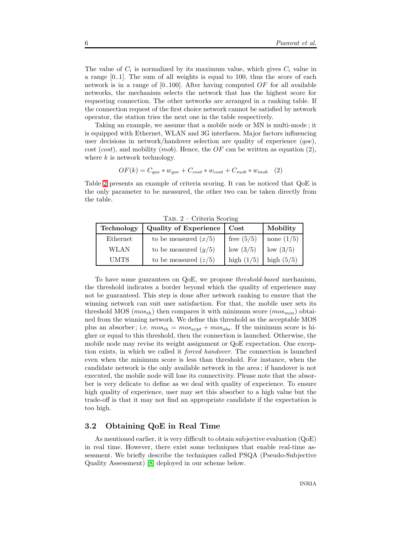The value of  $C_i$  is normalized by its maximum value, which gives  $C_i$  value in a range [0..1]. The sum of all weights is equal to 100, thus the score of each network is in a range of  $[0..100]$ . After having computed OF for all available networks, the mechanism selects the network that has the highest score for requesting connection. The other networks are arranged in a ranking table. If the connection request of the first choice network cannot be satisfied by network operator, the station tries the next one in the table respectively.

Taking an example, we assume that a mobile node or MN is multi-mode ; it is equipped with Ethernet, WLAN and 3G interfaces. Major factors influencing user decisions in network/handover selection are quality of experience  $(qoe)$ , cost (cost), and mobility (mob). Hence, the  $OF$  can be written as equation (2), where  $k$  is network technology.

$$
OF(k) = C_{qoe} * w_{qoe} + C_{cost} * w_{cost} + C_{mob} * w_{mob}
$$
 (2)

Table [2](#page-8-0) presents an example of criteria scoring. It can be noticed that QoE is the only parameter to be measured, the other two can be taken directly from the table.

| $1AD. 2$ UTIVITA DUBITIE |                              |                        |              |  |  |  |
|--------------------------|------------------------------|------------------------|--------------|--|--|--|
| Technology               | <b>Quality of Experience</b> | $\cos t$               | Mobility     |  |  |  |
| Ethernet                 | to be measured $(x/5)$       | free $(5/5)$           | none $(1/5)$ |  |  |  |
| WLAN                     | to be measured $(y/5)$       | low $\left(3/5\right)$ | low $(3/5)$  |  |  |  |
| <b>UMTS</b>              | to be measured $(z/5)$       | high $(1/5)$           | high $(5/5)$ |  |  |  |

<span id="page-8-0"></span>Tab. 2 – Criteria Scoring

To have some guarantees on QoE, we propose threshold-based mechanism, the threshold indicates a border beyond which the quality of experience may not be guaranteed. This step is done after network ranking to ensure that the winning network can suit user satisfaction. For that, the mobile user sets its threshold MOS ( $most<sub>th</sub>$ ) then compares it with minimum score ( $mos<sub>min</sub>$ ) obtained from the winning network. We define this threshold as the acceptable MOS plus an absorber; i.e.  $mos_{th} = mos_{acpt} + mos_{abs}$ . If the minimum score is higher or equal to this threshold, then the connection is launched. Otherwise, the mobile node may revise its weight assignment or QoE expectation. One exception exists, in which we called it forced handover. The connection is launched even when the minimum score is less than threshold. For instance, when the candidate network is the only available network in the area ; if handover is not executed, the mobile node will lose its connectivity. Please note that the absorber is very delicate to define as we deal with quality of experience. To ensure high quality of experience, user may set this absorber to a high value but the trade-off is that it may not find an appropriate candidate if the expectation is too high.

#### <span id="page-8-1"></span>3.2 Obtaining QoE in Real Time

As mentioned earlier, it is very difficult to obtain subjective evaluation (QoE) in real time. However, there exist some techniques that enable real-time assessment. We briefly describe the techniques called PSQA (Pseudo-Subjective Quality Assessment) [\[8\]](#page-17-7) deployed in our scheme below.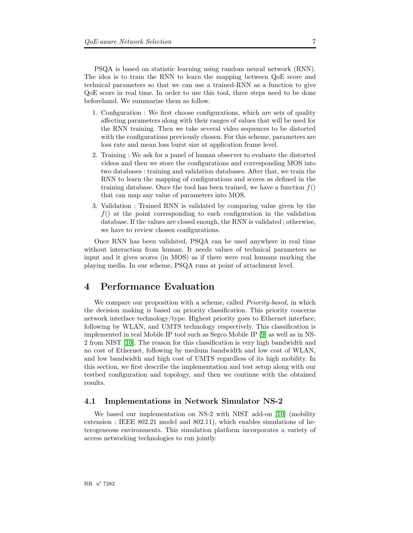PSQA is based on statistic learning using random neural network (RNN). The idea is to train the RNN to learn the mapping between QoE score and technical parameters so that we can use a trained-RNN as a function to give QoE score in real time. In order to use this tool, three steps need to be done beforehand. We summarize them as follow.

- 1. Configuration : We first choose configurations, which are sets of quality affecting parameters along with their ranges of values that will be used for the RNN training. Then we take several video sequences to be distorted with the configurations previously chosen. For this scheme, parameters are loss rate and mean loss burst size at application frame level.
- 2. Training : We ask for a panel of human observer to evaluate the distorted videos and then we store the configurations and corresponding MOS into two databases : training and validation databases. After that, we train the RNN to learn the mapping of configurations and scores as defined in the training database. Once the tool has been trained, we have a function  $f()$ that can map any value of parameters into MOS.
- 3. Validation : Trained RNN is validated by comparing value given by the  $f()$  at the point corresponding to each configuration in the validation database. If the values are closed enough, the RNN is validated ; otherwise, we have to review chosen configurations.

Once RNN has been validated, PSQA can be used anywhere in real time without interaction from human. It needs values of technical parameters as input and it gives scores (in MOS) as if there were real humans marking the playing media. In our scheme, PSQA runs at point of attachment level.

## <span id="page-9-0"></span>4 Performance Evaluation

We compare our proposition with a scheme, called *Priority-based*, in which the decision making is based on priority classification. This priority concerns network interface technology/type. Highest priority goes to Ethernet interface, following by WLAN, and UMTS technology respectively. This classification is implemented in real Mobile IP tool such as Segco Mobile IP [\[9\]](#page-17-8) as well as in NS-2 from NIST [\[10\]](#page-17-9). The reason for this classification is very high bandwidth and no cost of Ethernet, following by medium bandwidth and low cost of WLAN, and low bandwidth and high cost of UMTS regardless of its high mobility. In this section, we first describe the implementation and test setup along with our testbed configuration and topology, and then we continue with the obtained results.

#### <span id="page-9-1"></span>4.1 Implementations in Network Simulator NS-2

We based our implementation on NS-2 with NIST add-on [\[10\]](#page-17-9) (mobility extension : IEEE 802.21 model and 802.11), which enables simulations of heterogeneous environments. This simulation platform incorporates a variety of access networking technologies to run jointly.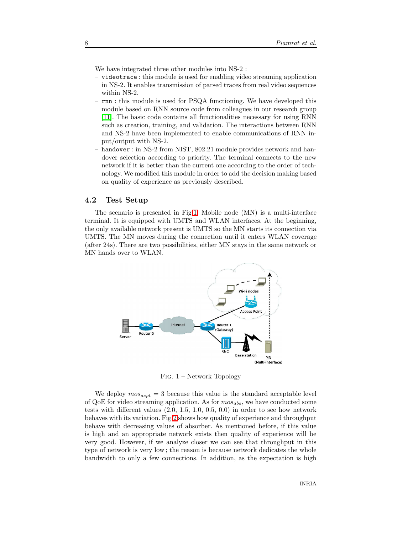We have integrated three other modules into NS-2 :

- videotrace : this module is used for enabling video streaming application in NS-2. It enables transmission of parsed traces from real video sequences within NS-2.
- rnn : this module is used for PSQA functioning. We have developed this module based on RNN source code from colleagues in our research group [\[11\]](#page-17-10). The basic code contains all functionalities necessary for using RNN such as creation, training, and validation. The interactions between RNN and NS-2 have been implemented to enable communications of RNN input/output with NS-2.
- handover : in NS-2 from NIST, 802.21 module provides network and handover selection according to priority. The terminal connects to the new network if it is better than the current one according to the order of technology. We modified this module in order to add the decision making based on quality of experience as previously described.

#### <span id="page-10-1"></span>4.2 Test Setup

The scenario is presented in Fig[.1.](#page-10-0) Mobile node (MN) is a multi-interface terminal. It is equipped with UMTS and WLAN interfaces. At the beginning, the only available network present is UMTS so the MN starts its connection via UMTS. The MN moves during the connection until it enters WLAN coverage (after 24s). There are two possibilities, either MN stays in the same network or MN hands over to WLAN.



<span id="page-10-0"></span>Fig. 1 – Network Topology

We deploy  $mos_{acpt} = 3$  because this value is the standard acceptable level of QoE for video streaming application. As for  $m\omega_{abs}$ , we have conducted some tests with different values (2.0, 1.5, 1.0, 0.5, 0.0) in order to see how network behaves with its variation. Fig[.2](#page-11-0) shows how quality of experience and throughput behave with decreasing values of absorber. As mentioned before, if this value is high and an appropriate network exists then quality of experience will be very good. However, if we analyze closer we can see that throughput in this type of network is very low ; the reason is because network dedicates the whole bandwidth to only a few connections. In addition, as the expectation is high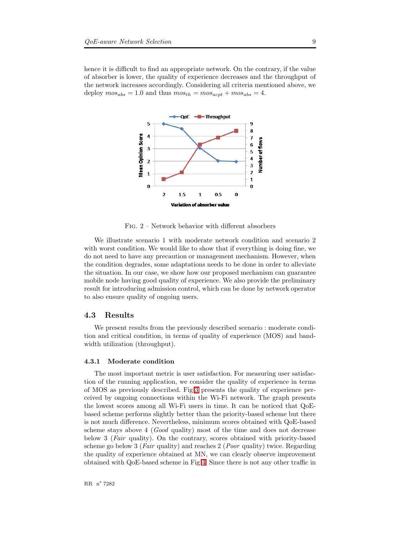hence it is difficult to find an appropriate network. On the contrary, if the value of absorber is lower, the quality of experience decreases and the throughput of the network increases accordingly. Considering all criteria mentioned above, we deploy  $mos_{abs} = 1.0$  and thus  $mos_{th} = mos_{acpt} + mos_{abs} = 4$ .



<span id="page-11-0"></span>Fig. 2 – Network behavior with different absorbers

We illustrate scenario 1 with moderate network condition and scenario 2 with worst condition. We would like to show that if everything is doing fine, we do not need to have any precaution or management mechanism. However, when the condition degrades, some adaptations needs to be done in order to alleviate the situation. In our case, we show how our proposed mechanism can guarantee mobile node having good quality of experience. We also provide the preliminary result for introducing admission control, which can be done by network operator to also ensure quality of ongoing users.

#### <span id="page-11-1"></span>4.3 Results

We present results from the previously described scenario : moderate condition and critical condition, in terms of quality of experience (MOS) and bandwidth utilization (throughput).

#### <span id="page-11-2"></span>4.3.1 Moderate condition

The most important metric is user satisfaction. For measuring user satisfaction of the running application, we consider the quality of experience in terms of MOS as previously described. Fig[.3](#page-12-0) presents the quality of experience perceived by ongoing connections within the Wi-Fi network. The graph presents the lowest scores among all Wi-Fi users in time. It can be noticed that QoEbased scheme performs slightly better than the priority-based scheme but there is not much difference. Nevertheless, minimum scores obtained with QoE-based scheme stays above 4 (Good quality) most of the time and does not decrease below 3 (Fair quality). On the contrary, scores obtained with priority-based scheme go below 3 (*Fair* quality) and reaches 2 (*Poor* quality) twice. Regarding the quality of experience obtained at MN, we can clearly observe improvement obtained with QoE-based scheme in Fig[.4.](#page-12-1) Since there is not any other traffic in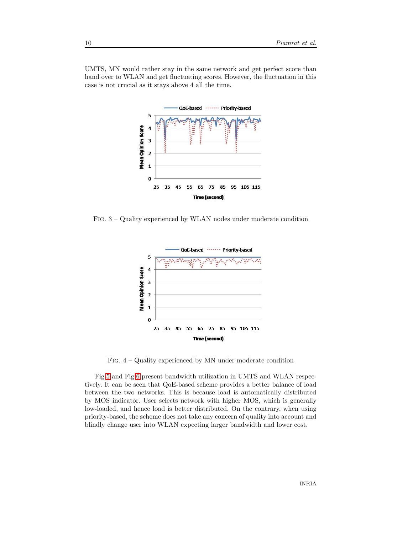UMTS, MN would rather stay in the same network and get perfect score than hand over to WLAN and get fluctuating scores. However, the fluctuation in this case is not crucial as it stays above 4 all the time.



<span id="page-12-0"></span>Fig. 3 – Quality experienced by WLAN nodes under moderate condition



Fig. 4 – Quality experienced by MN under moderate condition

<span id="page-12-1"></span>Fig[.5](#page-13-0) and Fig[.6](#page-13-1) present bandwidth utilization in UMTS and WLAN respectively. It can be seen that QoE-based scheme provides a better balance of load between the two networks. This is because load is automatically distributed by MOS indicator. User selects network with higher MOS, which is generally low-loaded, and hence load is better distributed. On the contrary, when using priority-based, the scheme does not take any concern of quality into account and blindly change user into WLAN expecting larger bandwidth and lower cost.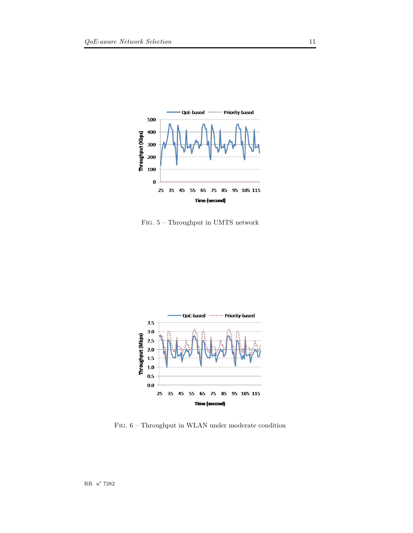

<span id="page-13-0"></span>Fig. 5 – Throughput in UMTS network



<span id="page-13-1"></span>Fig. 6 – Throughput in WLAN under moderate condition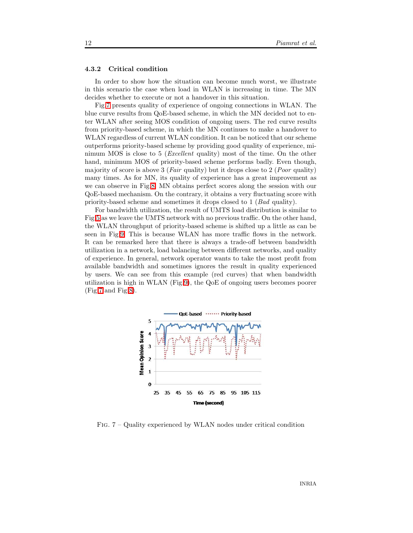#### <span id="page-14-1"></span>4.3.2 Critical condition

In order to show how the situation can become much worst, we illustrate in this scenario the case when load in WLAN is increasing in time. The MN decides whether to execute or not a handover in this situation.

Fig[.7](#page-14-0) presents quality of experience of ongoing connections in WLAN. The blue curve results from QoE-based scheme, in which the MN decided not to enter WLAN after seeing MOS condition of ongoing users. The red curve results from priority-based scheme, in which the MN continues to make a handover to WLAN regardless of current WLAN condition. It can be noticed that our scheme outperforms priority-based scheme by providing good quality of experience, minimum MOS is close to 5 (*Excellent* quality) most of the time. On the other hand, minimum MOS of priority-based scheme performs badly. Even though, majority of score is above 3 (*Fair* quality) but it drops close to 2 (*Poor* quality) many times. As for MN, its quality of experience has a great improvement as we can observe in Fig[.8.](#page-15-0) MN obtains perfect scores along the session with our QoE-based mechanism. On the contrary, it obtains a very fluctuating score with priority-based scheme and sometimes it drops closed to 1 (Bad quality).

For bandwidth utilization, the result of UMTS load distribution is similar to Fig[.5](#page-13-0) as we leave the UMTS network with no previous traffic. On the other hand, the WLAN throughput of priority-based scheme is shifted up a little as can be seen in Fig[.9.](#page-15-1) This is because WLAN has more traffic flows in the network. It can be remarked here that there is always a trade-off between bandwidth utilization in a network, load balancing between different networks, and quality of experience. In general, network operator wants to take the most profit from available bandwidth and sometimes ignores the result in quality experienced by users. We can see from this example (red curves) that when bandwidth utilization is high in WLAN (Fig[.9\)](#page-15-1), the QoE of ongoing users becomes poorer  $(Fig.7 \text{ and } Fig.8).$  $(Fig.7 \text{ and } Fig.8).$  $(Fig.7 \text{ and } Fig.8).$  $(Fig.7 \text{ and } Fig.8).$  $(Fig.7 \text{ and } Fig.8).$ 



<span id="page-14-0"></span>Fig. 7 – Quality experienced by WLAN nodes under critical condition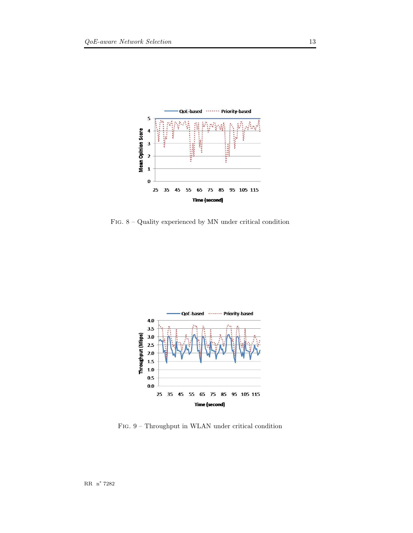

<span id="page-15-0"></span>Fig. 8 – Quality experienced by MN under critical condition



<span id="page-15-1"></span>Fig. 9 – Throughput in WLAN under critical condition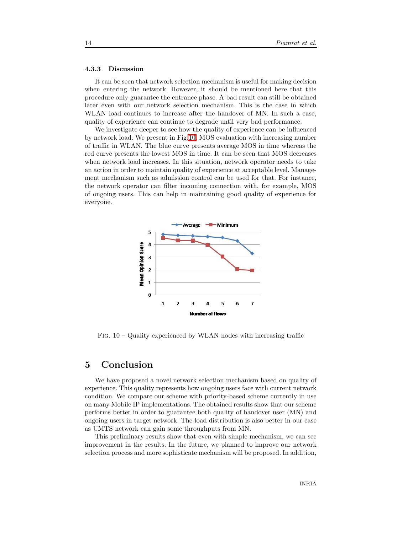#### <span id="page-16-2"></span>4.3.3 Discussion

It can be seen that network selection mechanism is useful for making decision when entering the network. However, it should be mentioned here that this procedure only guarantee the entrance phase. A bad result can still be obtained later even with our network selection mechanism. This is the case in which WLAN load continues to increase after the handover of MN. In such a case, quality of experience can continue to degrade until very bad performance.

We investigate deeper to see how the quality of experience can be influenced by network load. We present in Fig[.10,](#page-16-1) MOS evaluation with increasing number of traffic in WLAN. The blue curve presents average MOS in time whereas the red curve presents the lowest MOS in time. It can be seen that MOS decreases when network load increases. In this situation, network operator needs to take an action in order to maintain quality of experience at acceptable level. Management mechanism such as admission control can be used for that. For instance, the network operator can filter incoming connection with, for example, MOS of ongoing users. This can help in maintaining good quality of experience for everyone.



<span id="page-16-1"></span>FIG.  $10 -$ Quality experienced by WLAN nodes with increasing traffic

## <span id="page-16-0"></span>5 Conclusion

We have proposed a novel network selection mechanism based on quality of experience. This quality represents how ongoing users face with current network condition. We compare our scheme with priority-based scheme currently in use on many Mobile IP implementations. The obtained results show that our scheme performs better in order to guarantee both quality of handover user (MN) and ongoing users in target network. The load distribution is also better in our case as UMTS network can gain some throughputs from MN.

This preliminary results show that even with simple mechanism, we can see improvement in the results. In the future, we planned to improve our network selection process and more sophisticate mechanism will be proposed. In addition,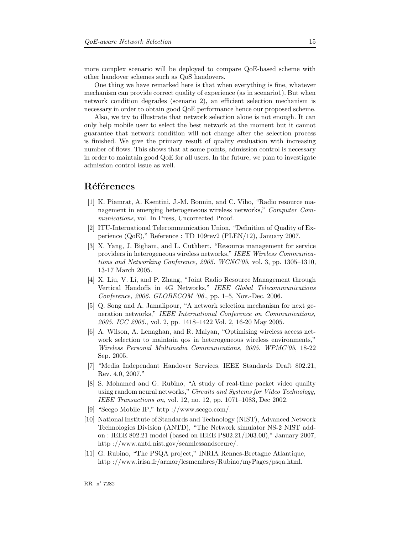more complex scenario will be deployed to compare QoE-based scheme with other handover schemes such as QoS handovers.

One thing we have remarked here is that when everything is fine, whatever mechanism can provide correct quality of experience (as in scenario1). But when network condition degrades (scenario 2), an efficient selection mechanism is necessary in order to obtain good QoE performance hence our proposed scheme.

Also, we try to illustrate that network selection alone is not enough. It can only help mobile user to select the best network at the moment but it cannot guarantee that network condition will not change after the selection process is finished. We give the primary result of quality evaluation with increasing number of flows. This shows that at some points, admission control is necessary in order to maintain good QoE for all users. In the future, we plan to investigate admission control issue as well.

## <span id="page-17-0"></span>Références

- [1] K. Piamrat, A. Ksentini, J.-M. Bonnin, and C. Viho, "Radio resource management in emerging heterogeneous wireless networks," Computer Communications, vol. In Press, Uncorrected Proof.
- <span id="page-17-1"></span>[2] ITU-International Telecommunication Union, "Definition of Quality of Experience (QoE)," Reference : TD 109rev2 (PLEN/12), January 2007.
- <span id="page-17-2"></span>[3] X. Yang, J. Bigham, and L. Cuthbert, "Resource management for service providers in heterogeneous wireless networks," IEEE Wireless Communications and Networking Conference, 2005. WCNC'05, vol. 3, pp. 1305–1310, 13-17 March 2005.
- <span id="page-17-3"></span>[4] X. Liu, V. Li, and P. Zhang, "Joint Radio Resource Management through Vertical Handoffs in 4G Networks," IEEE Global Telecommunications Conference, 2006. GLOBECOM '06., pp. 1–5, Nov.-Dec. 2006.
- <span id="page-17-4"></span>[5] Q. Song and A. Jamalipour, "A network selection mechanism for next generation networks," IEEE International Conference on Communications, 2005. ICC 2005., vol. 2, pp. 1418–1422 Vol. 2, 16-20 May 2005.
- <span id="page-17-5"></span>[6] A. Wilson, A. Lenaghan, and R. Malyan, "Optimising wireless access network selection to maintain qos in heterogeneous wireless environments," Wireless Personal Multimedia Communications, 2005. WPMC'05, 18-22 Sep. 2005.
- <span id="page-17-6"></span>[7] "Media Independant Handover Services, IEEE Standards Draft 802.21, Rev. 4.0, 2007."
- <span id="page-17-7"></span>[8] S. Mohamed and G. Rubino, "A study of real-time packet video quality using random neural networks," Circuits and Systems for Video Technology, IEEE Transactions on, vol. 12, no. 12, pp. 1071–1083, Dec 2002.
- <span id="page-17-8"></span>[9] "Secgo Mobile IP," http ://www.secgo.com/.
- <span id="page-17-9"></span>[10] National Institute of Standards and Technology (NIST), Advanced Network Technologies Division (ANTD), "The Network simulator NS-2 NIST addon : IEEE 802.21 model (based on IEEE P802.21/D03.00)," January 2007, http ://www.antd.nist.gov/seamlessandsecure/.
- <span id="page-17-10"></span>[11] G. Rubino, "The PSQA project," INRIA Rennes-Bretagne Atlantique, http ://www.irisa.fr/armor/lesmembres/Rubino/myPages/psqa.html.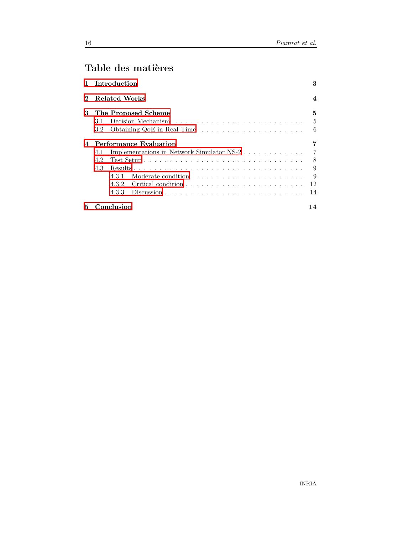## Table des matières

<span id="page-18-0"></span>

|              | Introduction                                         | 3                       |
|--------------|------------------------------------------------------|-------------------------|
| $\mathbf{2}$ | <b>Related Works</b>                                 | $\overline{\mathbf{4}}$ |
| 3            | The Proposed Scheme<br>3.1 -                         | 5<br>5                  |
|              | $3.2^{\circ}$                                        | 6                       |
|              | <b>Performance Evaluation</b>                        |                         |
|              | Implementations in Network Simulator NS-2 $.$<br>4.1 | $\overline{7}$          |
|              | 4.2                                                  | 8                       |
|              | 4.3                                                  | 9                       |
|              | 4.3.1                                                | -9                      |
|              |                                                      | 12                      |
|              | 4.3.3                                                | 14                      |
| 5            | Conclusion                                           | 14                      |